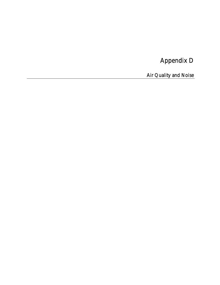# Appendix D

Air Quality and Noise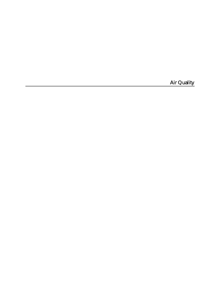**Air Quality**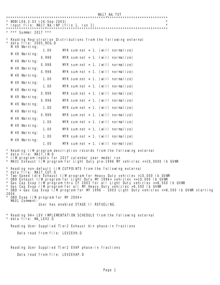MA17\_NA.TXT \*\*\*\*\*\*\*\*\*\*\*\*\*\*\*\*\*\*\*\*\*\*\*\*\*\*\*\*\*\*\*\*\*\*\*\*\*\*\*\*\*\*\*\*\*\*\*\*\*\*\*\*\*\*\*\*\*\*\*\*\*\*\*\*\*\*\*\*\*\*\*\*\*\*\* MOBILE6. 2.03 (24-Sep-2003) Input file: MA17\_NA.INP (file 1, run 1). \*\*\*\*\*\*\*\*\*\*\*\*\*\*\*\*\*\*\*\*\*\*\*\*\*\*\*\*\*\*\*\*\*\*\*\*\*\*\*\*\*\*\*\*\*\*\*\*\*\*\*\*\*\*\*\*\*\*\*\*\*\*\*\*\*\*\*\*\*\*\*\*\*\*\* \* \*\*\* Summer 2017 \*\*\* Reading Registration Distributions from the following external data file: 2005\_REG.D M 49 Warning: 1.00 MYR sum not = 1. (will normalize) M 49 Warning: 0.998 MYR sum not = 1. (will normalize) M 49 Warning: 0.998 MYR sum not = 1. (will normalize) M 49 Warning: 0.998 MYR sum not = 1. (will normalize) M 49 Warning: 1.00 MYR sum not = 1. (will normalize) M 49 Warning: 1.00 MYR sum not = 1. (will normalize) M 49 Warning:  $0.999$  MYR sum not = 1. (will normalize) M 49 Warning: 0.998 MYR sum not = 1. (will normalize) M 49 Warning: 1.00 MYR sum not = 1. (will normalize) M 49 Warning:  $0.999$  MYR sum not = 1. (will normalize) M 49 Warning: 1.00 MYR sum not = 1. (will normalize) M 49 Warning: 1.00 MYR sum not = 1. (will normalize) M 49 Warning: 1.00 MYR sum not = 1. (will normalize) M 49 Warning: 1.00 MYR sum not = 1. (will normalize) Reading I/M program description records from the following external data file: MA17\_IM.D I/M program inputs for 2017 calendar year model run MA31 Exhaust I/M program for Light Duty pre-1996 MY vehicles <=10,0000 lb GVWR \* Reading non-default I/M CUTPOINTS from the following external data file: MA17\_CUT.D \* Two-Speed Idle Exhaust I/M program for Heavy Duty vehicles >10,000 lb GVWR \* OBD Exhaust I/M program for Light Duty MY 1996+ vehicles <=10,000 lb GVWR \* Gas Cap Evap I/M program thru CY 2003 for all Light Duty vehicles <=8,500 lb GVWR \* Gas Cap Evap I/M program for all MY Heavy Duty vehicles >8,500 lb GVWR OBD + Gas Cap Evap I/M program for MY 1996 - 2003 Light Duty vehicles <=8,500 lb GVWR starting 2004 OBD Evap  $1/M$  program for MY 2004+ M601 Comment: User has enabled STAGE II REFUELING. Reading 94+ LEV IMPLEMENTATION SCHEDULE from the following external data file: MA LEV2.D Reading User Supplied Tier2 Exhaust bin phase-in fractions Data read from file: LEV2EXH.D Reading User Supplied Tier2 EVAP phase-in fractions Data read from file: LEV2EVAP.D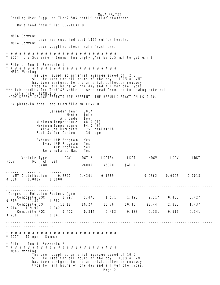MA17\_NA.TXT Reading User Supplied Tier2 50K certification standards Data read from file: LEV2CERT.D M616 Comment: User has supplied post-1999 sulfur levels. M614 Comment: User supplied diesel sale fractions. \* # # # # # # # # # # # # # # # # # # # # # # # # # 2017 Idle Scenario - Summer (multiply g/mi by 2.5 mph to get g/hr) \* File 1, Run 1, Scenario 1. \* # # # # # # # # # # # # # # # # # # # # # # # # # M583 Warning: The user supplied arterial average speed of 2.5 will be used for all hours of the day. 100% of VMT has been assigned to the arterial/collector roadway type for all hours of the day and all vehicle types. \*\*\* I/M credits for Tech1&2 vehicles were read from the following external data file: TECH12.D HDDV DEFEAT DEVICE EFFECTS ARE PRESENT. THE REBUILD FRACTION IS 0.10. LEV phase-in data read from file MA\_LEV2.D Calendar Year: 2017 Month: July<br>itude: Low Altitude: Low<br>nperature: 68.0 (F) Minimum Temperature: 68.0 (F)<br>Maximum Temperature: 94.0 (F) Maximum Temperature: 94.0 (F)<br>Absolute Humidity: 75. grains/lb Absolute Humidity: 75. grai<br>uel Sulfur Content: 30. ppm Fuel Sulfur Content: Exhaust I/M Program: Yes<br>Evap I/M Program: Yes Evap I/M Program: ATP Program: Yes Reformulated Gas: Yes Vehicle Type: LDGV LDGT12 LDGT34 LDGT HDGV LDDV LDDT Vehicle Type:<br>MC All Veh<br>GVWR: GVWR: <6000 >6000 (All) ------ ------ ------ ------ ------ ------ ------ ------ ------ ------ VMT Distribution: 0.2720 0.4301 0.1689 0.0362 0.0006 0.0018 0.0867 0.0037 1.0000 ------------------------------------------------------------------------------------------------ ---------------------- Composite Emission Factors (g/mi): Composite VOC : 1.797 1.470 1.571 1.498 2.217 0.435 0.427 0.819 11.89 1.582 Composite CO : 11.18 10.27 10.76 10.40 28.44 2.885 1.437 2.214 119.90 10.942 Composite NOX : 0.412 0.344 0.482 0.383 0.381 0.616 0.341 3.238 1.12 0.641 ------------------------------------------------------------------------------------------------ ---------------------- \* # # # # # # # # # # # # # # # # # # # # # # # # #  $*$  2017 - 10 mph - Summer \* File 1, Run 1, Scenario 2. \* # # # # # # # # # # # # # # # # # # # # # # # # # M583 Warning: The user supplied arterial average speed of 10.0 will be used for all hours of the day. 100% of VMT has been assigned to the arterial/collector roadway type for all hours of the day and all vehicle types.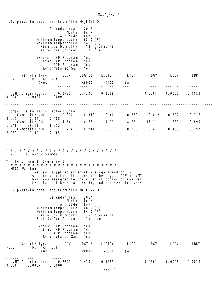LEV phase-in data read from file MA\_LEV2.D Calendar Year: 2017 Month: July Altitude: Low<br>nperature: 68.0 (F) Minimum Temperature: 68.0 (F)<br>Maximum Temperature: 94.0 (F) Maximum Temperature: 94.0 (F)<br>Absolute Humidity: 75. grains/lb Absolute Humidity: 75. grai<br>lel Sulfur Content: 30. ppm Fuel Sulfur Content: Exhaust I/M Program: Yes Evap I/M Program: Yes ATP Program: Reformulated Gas: Yes Vehicle Type: LDGV LDGT12 LDGT34 LDGT HDGV LDDV LDDT HDDV MC All Veh GVWR: <6000 >6000 (All) ------ ------ ------ ------ ------ ------ ------ ------ ------ ------ VMT Distribution: 0.2720 0.4301 0.1689 0.0362 0.0006 0.0018 0.0867 0.0037 1.0000 ------------------------------------------------------------------------------------------------ ---------------------- Composite Emission Factors (g/mi): Composite VOC : 0.370 0.343 0.401 0.359 0.622 0.327 0.317 0.565 5.34 0.408<br>Composite CO : 4.64 4.77 Composite CO : 4.64 4.77 4.99 4.83 15.12 1.830 0.895 1.246 36.41 4.952 Composite NOX : 0.264 0.241 0.337 0.268 0.411 0.465 0.257 2.461 1.00 0.465 ------------------------------------------------------------------------------------------------ ---------------------- \* # # # # # # # # # # # # # # # # # # # # # # # # #  $*$  2017 - 15 mph - Summer \* File 1, Run 1, Scenario 3. \* # # # # # # # # # # # # # # # # # # # # # # # # # M583 Warning: The user supplied arterial average speed of 15.0 will be used for all hours of the day. 100% of VMT has been assigned to the arterial/collector roadway type for all hours of the day and all vehicle types. LEV phase-in data read from file MA\_LEV2.D Calendar Year: 2017 Month: July<br>titude: Low Altitude: Low<br>nperature: 68.0 (F) Minimum Temperature: 68.0 (F)<br>Maximum Temperature: 94.0 (F) Maximum Temperature: 94.0 (F)<br>Absolute Humidity: 75. grains/lb<br>Fuel Sulfur Content: 30. ppm Absolute Humidity: Fuel Sulfur Content: Exhaust I/M Program: Yes Evap I/M Program: Yes ATP Program: Yes<br>mulated Gas: Yes Reformulated Gas: Vehicle Type: LDGV LDGT12 LDGT34 LDGT HDGV LDDV LDDT MC All Veh<br>GVWR:  $6000$   $>6000$   $(Al1)$ <br>  $5000$   $-5000$   $(Al1)$  ------ ------ ------ ------ ------ ------ ------ ------ ------ ------ VMT Distribution: 0.2720 0.4301 0.1689 0.0362 0.0006 0.0018 0.0867 0.0037 1.0000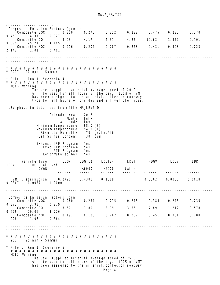MA17\_NA.TXT

| Composite Emission Factors (g/mi):            |                                                                                                                                                                                                                       |                                         |                                                             |               |             |        |        |        |
|-----------------------------------------------|-----------------------------------------------------------------------------------------------------------------------------------------------------------------------------------------------------------------------|-----------------------------------------|-------------------------------------------------------------|---------------|-------------|--------|--------|--------|
| Composite VOC :<br>4.37<br>0.453              | 0.327                                                                                                                                                                                                                 | 0.300                                   | 0.275                                                       | 0.322         | 0.288       | 0.475  | 0.280  | 0.270  |
| Composite CO<br>0.899<br>25.21                | t.<br>4.185                                                                                                                                                                                                           | 4.03                                    | 4.17                                                        | 4.37          | 4.22        | 10.63  | 1.452  | 0.701  |
| Composite NOX :<br>2.142<br>1.01              | 0.401                                                                                                                                                                                                                 | 0.216                                   | 0.204                                                       | 0.287         | 0.228       | 0.431  | 0.403  | 0.223  |
|                                               |                                                                                                                                                                                                                       |                                         |                                                             |               |             |        |        |        |
|                                               |                                                                                                                                                                                                                       |                                         |                                                             |               |             |        |        |        |
| $*$ 2017 - 20 mph - Summer                    |                                                                                                                                                                                                                       |                                         |                                                             |               |             |        |        |        |
| * File 1, Run 1, Scenario 4.<br>M583 Warning: |                                                                                                                                                                                                                       |                                         |                                                             |               |             |        |        |        |
|                                               | The user supplied arterial average speed of 20.0<br>will be used for all hours of the day. 100% of VMT<br>has been assigned to the arterial/collector roadway<br>type for all hours of the day and all vehicle types. |                                         |                                                             |               |             |        |        |        |
| LEV phase-in data read from file MA_LEV2.D    |                                                                                                                                                                                                                       |                                         |                                                             |               |             |        |        |        |
|                                               | Minimum Temperature:<br>Maximum Temperature:<br>Absolute Humidity:<br>Fuel Sul fur Content:                                                                                                                           | Calendar Year:<br>Month:<br>Al ti tude: | 2017<br>Jul y<br>Low<br>68.0 $(F)$<br>94.0 $(F)$<br>30. ppm | 75. grains/Ib |             |        |        |        |
|                                               | Exhaust I/M Program:<br>Evap I/M Program:<br>Reformulated Gas:                                                                                                                                                        | ATP Program:                            | Yes<br>Yes<br>Yes<br>Yes                                    |               |             |        |        |        |
|                                               | Vehicle Type:                                                                                                                                                                                                         | LDGV                                    | LDGT12                                                      | LDGT34        | LDGT        | HDGV   | LDDV   | LDDT   |
| HDDV                                          | All Veh<br>MC.<br>GVWR:                                                                                                                                                                                               |                                         | <6000                                                       | >6000         | (All)       |        |        |        |
| VMT Distribution:<br>0.0867                   | 0.0037<br>1.0000                                                                                                                                                                                                      | 0.2720                                  | 0.4301                                                      | 0.1689        |             | 0.0362 | 0.0006 | 0.0018 |
| Composite Emission Factors (g/mi):            |                                                                                                                                                                                                                       |                                         |                                                             |               |             |        |        |        |
| $0.372$ $3.93$                                | Composite $VOC$ : $O.260$<br>0.279                                                                                                                                                                                    |                                         | 0.234                                                       |               | 0.275 0.246 | 0.384  | 0.245  | 0.235  |
| 20.06<br>0.679                                | Composite CO : $\qquad$<br>3.726                                                                                                                                                                                      | 3.67                                    | 3.80                                                        | 3.99          | 3.85        | 7.89   | 1.212  | 0.578  |
| 1.928<br>1.06                                 | Composite NOX :<br>0.364                                                                                                                                                                                              | 0.191                                   | 0.186                                                       | 0.262         | 0.207       | 0.451  | 0.361  | 0.200  |
| .                                             |                                                                                                                                                                                                                       |                                         |                                                             |               |             |        |        |        |
| $*$ 2017 - 25 mph - Summer                    |                                                                                                                                                                                                                       |                                         |                                                             |               |             |        |        |        |
| * File 1, Run 1, Scenario 5.                  |                                                                                                                                                                                                                       |                                         |                                                             |               |             |        |        |        |
| M583 Warning:                                 | The user supplied arterial average speed of 25.0                                                                                                                                                                      |                                         |                                                             |               |             |        |        |        |
|                                               | will be used for all hours of the day. 100% of VMT<br>has been assigned to the arterial/collector roadway                                                                                                             |                                         |                                                             |               |             |        |        |        |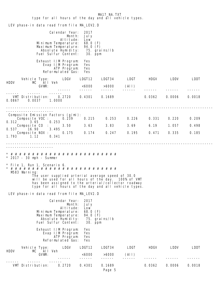MA17\_NA.TXT type for all hours of the day and all vehicle types. LEV phase-in data read from file MA\_LEV2.D Calendar Year: 2017 Month: July **Altitude:** Low Minimum Temperature: 68.0 (F)<br>Maximum Temperature: 94.0 (F) Maximum Temperature: 94.0 (F)<br>Absolute Humidity: 75. grains/lb Absolute Humidity: 75. grai<br>lel Sulfur Content: 30. ppm Fuel Sulfur Content: Exhaust I/M Program: Yes<br>Evap I/M Program: Yes Evap I/M Program: ATP Program: Yes<br>rmulated Gas: Yes Reformulated Gas: Vehicle Type: LDGV LDGT12 LDGT34 LDGT HDGV LDDV LDDT HDDV MC All Veh GVWR: <6000 >6000 (All) ------ ------ ------ ------ ------ ------ ------ ------ ------ ------ VMT Distribution: 0.2720 0.4301 0.1689 0.0362 0.0006 0.0018 0.0867 0.0037 1.0000 ------------------------------------------------------------------------------------------------ ---------------------- Composite Emission Factors (g/mi): Composite VOC : 0.239 0.215 0.253 0.226 0.331 0.220 0.209 0.312 3.65 0.253 Composite CO : 3.50 3.63 3.83 3.69 6.19 1.057 0.498 0.537 16.90 3.495 Composite NOX : 0.175 0.174 0.247 0.195 0.471 0.335 0.185 1.793 1.12 0.341 ------------------------------------------------------------------------------------------------ ---------------------- \* # # # # # # # # # # # # # # # # # # # # # # # # #  $*$  2017 - 30 mph - Summer \* File 1, Run 1, Scenario 6. \* # # # # # # # # # # # # # # # # # # # # # # # # # M583 Warning: The user supplied arterial average speed of 30.0 will be used for all hours of the day. 100% of VMT has been assigned to the arterial/collector roadway type for all hours of the day and all vehicle types. LEV phase-in data read from file MA\_LEV2.D Calendar Year: 2017 Month: July<br>titude: Low Altitude: Low<br>mperature: 68.0 (F) Minimum Temperature: 68.0 (F)<br>Maximum Temperature: 94.0 (F) Maximum Temperature: 94.0 (F)<br>Absolute Humidity: 75. grains/lb Absolute Humidity: 75. grái<br>lel Sulfur Content: 30. ppm Fuel Sulfur Content: Exhaust I/M Program: Yes Evap I/M Program: Yes ATP Program: Reformulated Gas: Yes Vehicle Type: LDGV LDGT12 LDGT34 LDGT HDGV LDDV LDDT HDDV MC All Veh GVWR: <6000 >6000 (All) ------ ------ ------ ------ ------ ------ ------ ------ ------ ------ VMT Distribution: 0.2720 0.4301 0.1689 0.0362 0.0006 0.0018 Page 5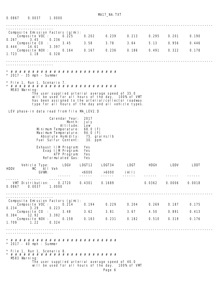0.0867 0.0037 1.0000 ------------------------------------------------------------------------------------------------ ---------------------- Composite Emission Factors (g/mi): Composite VOC : 0.225 0.202 0.239 0.213 0.295 0.201 0.190 0.267 3.45 0.236 Composite CO : 3.45 3.58 3.78 3.64 5.13 0.956 0.446 0.444 14.61 3.397 Composite NOX : 0.164 0.167 0.236 0.186 0.491 0.322 0.178 1.723 1.18 0.328 ------------------------------------------------------------------------------------------------ ---------------------- \* # # # # # # # # # # # # # # # # # # # # # # # # #  $2017 - 35$  mph - Summer \* File 1, Run 1, Scenario 7. \* # # # # # # # # # # # # # # # # # # # # # # # # # M583 Warning: The user supplied arterial average speed of 35.0 will be used for all hours of the day. 100% of VMT has been assigned to the arterial/collector roadway type for all hours of the day and all vehicle types. LEV phase-in data read from file MA\_LEV2.D Calendar Year: 2017 Month: July **Altitude:** Low Minimum Temperature: 68.0 (F) Maximum Temperature: 94.0 (F) Absolute Humidity: 75. grains/lb Fuel Sulfur Content: 30. ppm Exhaust I/M Program: Yes Evap I/M Program: Yes ATP Program: Reformulated Gas: Yes Vehicle Type: LDGV LDGT12 LDGT34 LDGT HDGV LDDV LDDT HDDV MC All Veh GVWR: <6000 >6000 (All) ------ ------ ------ ------ ------ ------ ------ ------ ------ ------ VMT Distribution: 0.2720 0.4301 0.1689 0.0362 0.0006 0.0018 0.0867 0.0037 1.0000 ------------------------------------------------------------------------------------------------ ---------------------- Composite Emission Factors (g/mi): Composite VOC : 0.214 0.194 0.229 0.204 0.269 0.187 0.175 0.234 3.29 0.223 Composite CO : 3.48 3.62 3.81 3.67 4.50 0.891 0.413 0.384 12.92 3.392 Composite NOX : 0.158 0.163 0.231 0.182 0.510 0.319 0.176 1.709 1.22 0.324 ------------------------------------------------------------------------------------------------ \* # # # # # # # # # # # # # # # # # # # # # # # # #  $*$  2017 - 40 mph - Summer \* File 1, Run 1, Scenario 8. \* # # # # # # # # # # # # # # # # # # # # # # # # # M583 Warning: The user supplied arterial average speed of 40.0 will be used for all hours of the day. 100% of VMT

MA17\_NA.TXT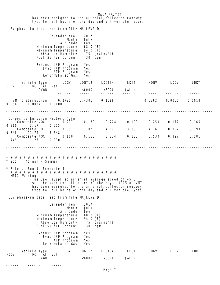MA17\_NA.TXT has been assigned to the arterial/collector roadway type for all hours of the day and all vehicle types. LEV phase-in data read from file MA\_LEV2.D Calendar Year: 2017 Month: July<br>itude: Low Altitude: Low<br>nperature: 68.0 (F)<br>nperature: 94.0 (F) Minimum Temperature: Maximum Temperature: 94.0 (F)<br>Absolute Humidity: 75. grains/lb Absolute Humidity: Fuel Sulfur Content: 30. ppm Exhaust I/M Program: Yes Evap I/M Program: Yes ATP Program: Yes Reformulated Gas: Yes Vehicle Type: LDGV LDGT12 LDGT34 LDGT HDGV LDDV LDDT Vehicle Type: l<br>MC All Veh<br>GVWR:  $< 6000$   $> 6000$  (All) ------ ------ ------ ------ ------ ------ ------ ------ ------ ------ VMT Distribution: 0.2720 0.4301 0.1689 0.0362 0.0006 0.0018 0.0867 0.0037 1.0000 ------------------------------------------------------------------------------------------------ ---------------------- Composite Emission Factors (g/mi): Composite VOC : 0.207 0.189 0.224 0.199 0.250 0.177 0.165 0.210 3.17 0.215<br>Composite CO : 3.68 3.82 Composite CO : 3.68 3.82 4.02 3.88 4.16 0.852 0.393 0.348 11.74 3.548 Composite NOX : 0.160 0.166 0.234 0.185 0.530 0.327 0.181 1.749 1.25 0.330 ------------------------------------------------------------------------------------------------ ---------------------- \* # # # # # # # # # # # # # # # # # # # # # # # # #  $*$  2017 - 45 mph - Summer \* File 1, Run 1, Scenario 9. \* # # # # # # # # # # # # # # # # # # # # # # # # # M583 Warning: The user supplied arterial average speed of 45.0 will be used for all hours of the day. 100% of VMT has been assigned to the arterial/collector roadway type for all hours of the day and all vehicle types. LEV phase-in data read from file MA\_LEV2.D Calendar Year: 2017 Month: July Altitude: Low<br>mperature: 68.0 (F) Minimum Temperature: 68.0 (F)<br>Maximum Temperature: 94.0 (F) Maximum Temperature: 94.0 (F)<br>Absolute Humidity: 75. grains/lb<br>Fuel Sulfur Content: 30. ppm Absolute Humidity: Fuel Sulfur Content: Exhaust I/M Program: Yes<br>Evap I/M Program: Yes Evap I/M Program: ATP Program: Yes Reformulated Gas: Yes Vehicle Type: LDGV LDGT12 LDGT34 LDGT HDGV LDDV LDDT HDDV MC All Veh GVWR: <6000 >6000 (All) ------ ------ ------ ------ ------ ------ ------ ------ ------ ------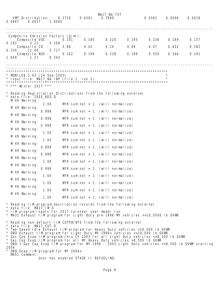| 0.2720<br>VMT Distribution:<br>0.0867<br>0.0037<br>1.0000                                                                                                                                                                                                                                                                                                                                                                                                                                                                                                                                 | 0.4301                            | MA17_NA.TXT<br>0.1689 |       | 0.0362 | 0.0006 | 0.0018 |
|-------------------------------------------------------------------------------------------------------------------------------------------------------------------------------------------------------------------------------------------------------------------------------------------------------------------------------------------------------------------------------------------------------------------------------------------------------------------------------------------------------------------------------------------------------------------------------------------|-----------------------------------|-----------------------|-------|--------|--------|--------|
| Composite Emission Factors (g/mi):                                                                                                                                                                                                                                                                                                                                                                                                                                                                                                                                                        |                                   |                       |       |        |        |        |
| Composite VOC :<br>0.208<br>0.192<br>3.11                                                                                                                                                                                                                                                                                                                                                                                                                                                                                                                                                 | 0.185<br>0. 201                   | 0.220                 | 0.195 | 0.236  | 0.169  | 0.157  |
| Composite CO<br>3.717<br>0.330<br>11.00                                                                                                                                                                                                                                                                                                                                                                                                                                                                                                                                                   | 3.88<br>4.02                      | 4.24                  | 4.08  | 4.07   | 0.832  | 0.382  |
| Composite NOX :<br>1.27<br>0.343<br>1.849                                                                                                                                                                                                                                                                                                                                                                                                                                                                                                                                                 | 0.169<br>0.162                    | 0.238                 | 0.189 | 0.550  | 0.346  | 0.191  |
| $*$ MOBILE6. 2.03 (24-Sep-2003)<br>* *** Winter 2017 ***                                                                                                                                                                                                                                                                                                                                                                                                                                                                                                                                  |                                   |                       |       |        |        |        |
| * Reading Registration Distributions from the following external<br>data file: 2005_REG.D<br>M 49 Warning:                                                                                                                                                                                                                                                                                                                                                                                                                                                                                |                                   |                       |       |        |        |        |
| 1.00<br>M 49 Warning:                                                                                                                                                                                                                                                                                                                                                                                                                                                                                                                                                                     | MYR sum not = 1. (will normalize) |                       |       |        |        |        |
| 0.998<br>M 49 Warning:                                                                                                                                                                                                                                                                                                                                                                                                                                                                                                                                                                    | MYR sum not = 1. (will normalize) |                       |       |        |        |        |
| 0.998<br>M 49 Warning:                                                                                                                                                                                                                                                                                                                                                                                                                                                                                                                                                                    | MYR sum not = 1. (will normalize) |                       |       |        |        |        |
| 0.998<br>M 49 Warning:                                                                                                                                                                                                                                                                                                                                                                                                                                                                                                                                                                    | MYR sum not = 1. (will normalize) |                       |       |        |        |        |
| 1.00                                                                                                                                                                                                                                                                                                                                                                                                                                                                                                                                                                                      | MYR sum not = 1. (will normalize) |                       |       |        |        |        |
| M 49 Warning:<br>1.00                                                                                                                                                                                                                                                                                                                                                                                                                                                                                                                                                                     | MYR sum not = 1. (will normalize) |                       |       |        |        |        |
| M 49 Warning:<br>0.999                                                                                                                                                                                                                                                                                                                                                                                                                                                                                                                                                                    | MYR sum not = 1. (will normalize) |                       |       |        |        |        |
| M 49 Warning:<br>0.998                                                                                                                                                                                                                                                                                                                                                                                                                                                                                                                                                                    | MYR sum not = 1. (will normalize) |                       |       |        |        |        |
| M 49 Warning:<br>1.00                                                                                                                                                                                                                                                                                                                                                                                                                                                                                                                                                                     | MYR sum not = 1. (will normalize) |                       |       |        |        |        |
| M 49 Warning:<br>0.999                                                                                                                                                                                                                                                                                                                                                                                                                                                                                                                                                                    | MYR sum not = 1. (will normalize) |                       |       |        |        |        |
| M 49 Warning:<br>1.00                                                                                                                                                                                                                                                                                                                                                                                                                                                                                                                                                                     | MYR sum not = 1. (will normalize) |                       |       |        |        |        |
| M 49 Warning:<br>1.00                                                                                                                                                                                                                                                                                                                                                                                                                                                                                                                                                                     | MYR sum not = 1. (will normalize) |                       |       |        |        |        |
| M 49 Warning:<br>1.00                                                                                                                                                                                                                                                                                                                                                                                                                                                                                                                                                                     | MYR sum not = 1. (will normalize) |                       |       |        |        |        |
| M 49 Warning:<br>1.00                                                                                                                                                                                                                                                                                                                                                                                                                                                                                                                                                                     | MYR sum not = 1. (will normalize) |                       |       |        |        |        |
| * Reading I/M program description records from the following external<br>$\star$<br>data file: MA17_IM.D                                                                                                                                                                                                                                                                                                                                                                                                                                                                                  |                                   |                       |       |        |        |        |
| * I/M program inputs for 2017 calendar year model run<br>* MA31 Exhaust I/M program for Light Duty pre-1996 MY vehicles <=10,0000 Ib GVWR                                                                                                                                                                                                                                                                                                                                                                                                                                                 |                                   |                       |       |        |        |        |
| * Reading non-default I/M CUTPOINTS from the following external<br>$\star$<br>data file: MA17_CUT.D<br>* Two-Speed Idle Exhaust I/M program for Heavy Duty vehicles >10,000 Ib GVWR<br>* OBD Exhaust I/M program for Light Duty MY 1996+ vehicles <=10,000 Ib GVWR<br>* Gas Cap Evap I/M program thru CY 2003 for all Light Duty vehicles <= 8,500 Ib GVWR<br>* Gas Cap Evap I/M program for all MY Heavy Duty vehicles >8,500 Ib GVWR<br>* OBD + Gas Cap Evap I/M program for MY 1996 - 2003 Light Duty vehicles <=8,500 Ib GVWR starting<br>2004<br>* OBD Evap I/M program for MY 2004+ |                                   |                       |       |        |        |        |
| M601 Comment:                                                                                                                                                                                                                                                                                                                                                                                                                                                                                                                                                                             |                                   |                       |       |        |        |        |

User has enabled STAGE II REFUELING.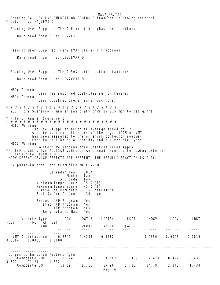| * Reading 94+ LEV IMPLEMENTATION SCHEDULE from the following external<br>* data file: MA_LEV2.D                                             |                     | MA17 NA.TXT              |             |             |        |        |  |  |  |  |  |
|---------------------------------------------------------------------------------------------------------------------------------------------|---------------------|--------------------------|-------------|-------------|--------|--------|--|--|--|--|--|
| Reading User Supplied Tier2 Exhaust bin phase-in fractions                                                                                  |                     |                          |             |             |        |        |  |  |  |  |  |
| Data read from file: LEV2EXH. D                                                                                                             |                     |                          |             |             |        |        |  |  |  |  |  |
|                                                                                                                                             |                     |                          |             |             |        |        |  |  |  |  |  |
| Reading User Supplied Tier2 EVAP phase-in fractions                                                                                         |                     |                          |             |             |        |        |  |  |  |  |  |
| Data read from file: LEV2EVAP.D                                                                                                             |                     |                          |             |             |        |        |  |  |  |  |  |
| Reading User Supplied Tier2 50K certification standards                                                                                     |                     |                          |             |             |        |        |  |  |  |  |  |
| Data read from file: LEV2CERT. D                                                                                                            |                     |                          |             |             |        |        |  |  |  |  |  |
|                                                                                                                                             |                     |                          |             |             |        |        |  |  |  |  |  |
| M616 Comment:<br>User has supplied post-1999 sulfur levels.                                                                                 |                     |                          |             |             |        |        |  |  |  |  |  |
| M614 Comment:<br>User supplied diesel sale fractions.                                                                                       |                     |                          |             |             |        |        |  |  |  |  |  |
| * 2017 Idle Scenario - Winter (multiply g/mi by 2.5 mph to get g/hr)                                                                        |                     |                          |             |             |        |        |  |  |  |  |  |
| * File 1, Run 2, Scenario 1.                                                                                                                |                     |                          |             |             |        |        |  |  |  |  |  |
| M583 Warning:                                                                                                                               |                     |                          |             |             |        |        |  |  |  |  |  |
| The user supplied arterial average speed of 2.5<br>will be used for all hours of the day.                                                   |                     |                          | 100% of VMT |             |        |        |  |  |  |  |  |
| has been assigned to the arterial/collector roadway<br>type for all hours of the day and all vehicle types.                                 |                     |                          |             |             |        |        |  |  |  |  |  |
| M112 Warning:<br>Wintertime Reformulated Gasoline Rules Apply<br>*** I/M credits for Tech1&2 vehicles were read from the following external |                     |                          |             |             |        |        |  |  |  |  |  |
| data file: TECH12.D<br>HDDV DEFEAT DEVICE EFFECTS ARE PRESENT. THE REBUILD FRACTION IS 0.10.                                                |                     |                          |             |             |        |        |  |  |  |  |  |
| LEV phase-in data read from file MA_LEV2.D                                                                                                  |                     |                          |             |             |        |        |  |  |  |  |  |
| Calendar Year:                                                                                                                              | 2017                |                          |             |             |        |        |  |  |  |  |  |
| Month:<br>Al ti tude:                                                                                                                       | Jan.<br>Low         |                          |             |             |        |        |  |  |  |  |  |
| Minimum Temperature:<br>Maximum Temperature:                                                                                                | 35.0(F)<br>45.0 (F) |                          |             |             |        |        |  |  |  |  |  |
| Absolute Humidity:<br>Fuel Sulfur Content:                                                                                                  |                     | 75. grains/Ib<br>30. ppm |             |             |        |        |  |  |  |  |  |
| Exhaust I/M Program:<br>Evap I/M Program:                                                                                                   | Yes<br>Yes          |                          |             |             |        |        |  |  |  |  |  |
| ATP Program:<br>Reformulated Gas:                                                                                                           | Yes<br>Yes          |                          |             |             |        |        |  |  |  |  |  |
| LDGV<br>Vehicle Type:                                                                                                                       | LDGT12              | LDGT34                   | LDGT        | HDGV        | LDDV   | LDDT   |  |  |  |  |  |
| <b>HDDV</b><br>MC All Veh<br>GVWR:                                                                                                          | <6000               | >6000                    | (All)       |             |        |        |  |  |  |  |  |
|                                                                                                                                             | ------              | ------                   | ------      |             |        |        |  |  |  |  |  |
| VMT Distribution:<br>0.2749<br>0.0864<br>0.0036<br>1.0000                                                                                   | 0.4288              | 0.1682                   |             | 0.0356      | 0.0006 | 0.0019 |  |  |  |  |  |
|                                                                                                                                             |                     |                          |             |             |        |        |  |  |  |  |  |
| Composite Emission Factors (g/mi):<br>Composite VOC : 1.824                                                                                 | 1.445               | 1.602                    |             | 1.489 2.478 | 0.427  | 0.431  |  |  |  |  |  |
| 1.592<br>$0.827$ 11.21<br>Composite CO : 18.69                                                                                              | 17.16               | 17.96<br>Page 9          | 17.38       | 34.79       | 2.843  | 1.438  |  |  |  |  |  |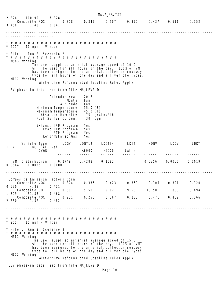MA17\_NA.TXT 2.326 100.99 17.328 2.326 100.99 17.328<br>- Composite NOX : 0.318 0.345 0.507 0.390 0.437 0.611 0.352<br>3.458 1.48 0.641  $1.48$  0.641 ------------------------------------------------------------------------------------------------ ---------------------- \* # # # # # # # # # # # # # # # # # # # # # # # # # \* 2017 - 10 mph - Winter \* File 1, Run 2, Scenario 2. \* # # # # # # # # # # # # # # # # # # # # # # # # # M583 Warning: The user supplied arterial average speed of 10.0 will be used for all hours of the day. 100% of VMT has been assigned to the arterial/collector roadway type for all hours of the day and all vehicle types. M112 Warning: Wintertime Reformulated Gasoline Rules Apply LEV phase-in data read from file MA\_LEV2.D Calendar Year: 2017<br>Month: Jan. Month: Jan.<br>itude: Low Altitude: Low<br>nperature: 35.0 (F) Minimum Temperature: 35.0 (F)<br>Maximum Temperature: 45.0 (F) Maximum Temperature: 45.0 (F)<br>Absolute Humidity: 75. grains/lb Absolute Humidity: 75. grai<br>lel Sulfur Content: 30. ppm Fuel Sulfur Content: Exhaust I/M Program: Yes Evap I/M Program: Yes ATP Program: Reformulated Gas: Yes Vehicle Type: LDGV LDGT12 LDGT34 LDGT HDGV LDDV LDDT Vehicle Type: LDGV<br>MC All Veh<br>GVWR: GVWR: <6000 >6000 (All) ------ ------ ------ ------ ------ ------ ------ ------ ------ ------ VMT Distribution: 0.2749 0.4288 0.1682 0.0356 0.0006 0.0019 0.0864 0.0036 1.0000 ------------------------------------------------------------------------------------------------ ---------------------- Composite Emission Factors (g/mi): .<br>Composite VOC : 0.374 0.336 0.423 0.360 0.706 0.321 0.320<br>0.488 0.411 0.570 4.88 0.411 Composite CO : 10.50 9.50 9.62 9.53 18.50 1.800 0.894 1.309 31.83 9.468 Composite NOX : 0.231 0.250 0.367 0.283 0.471 0.462 0.266 2.630 1.32 0.482 ------------------------------------------------------------------------------------------------ ---------------------- \* # # # # # # # # # # # # # # # # # # # # # # # # # \* 2017 - 15 mph - Winter \* File 1, Run 2, Scenario 3. \* # # # # # # # # # # # # # # # # # # # # # # # # # M583 Warning: The user supplied arterial average speed of 15.0 will be used for all hours of the day. 100% of VMT has been assigned to the arterial/collector roadway type for all hours of the day and all vehicle types. M112 Warning: Wintertime Reformulated Gasoline Rules Apply LEV phase-in data read from file MA\_LEV2.D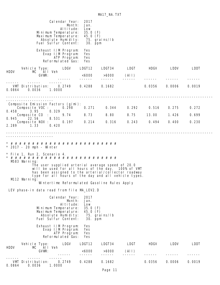|             |                                                                                                                                      |                     |                         | Calendar Year:<br>Month:<br>Al ti tude:<br>Minimum Temperature:<br>Maximum Temperature:<br>Absolute Humidity:<br>Fuel Sulfur Content:   | 2017<br>Jan.<br>Low<br>35.0(F)<br>45.0 (F)   | 75. grains/Ib<br>30. ppm                                                                         |                                                                                                                                                                   |                                            |                         |                         |  |
|-------------|--------------------------------------------------------------------------------------------------------------------------------------|---------------------|-------------------------|-----------------------------------------------------------------------------------------------------------------------------------------|----------------------------------------------|--------------------------------------------------------------------------------------------------|-------------------------------------------------------------------------------------------------------------------------------------------------------------------|--------------------------------------------|-------------------------|-------------------------|--|
|             |                                                                                                                                      |                     |                         | Exhaust I/M Program:<br>Evap I/M Program:<br>ATP Program:<br>Reformulated Gas:                                                          | <b>Yes</b><br>Yes<br>Yes<br>Yes              |                                                                                                  |                                                                                                                                                                   |                                            |                         |                         |  |
| HDDV        | Vehicle Type: LDGV                                                                                                                   | MC All Veh<br>GVWR: |                         |                                                                                                                                         | LDGT12<br><6000<br>------                    | LDGT34<br>>6000<br>------                                                                        | <b>EDGT</b><br>(A 1)<br>$- - - - - -$                                                                                                                             |                                            | HDGV LDDV               | LDDT                    |  |
| 0.0864      | VMT Distribution: 0.2749<br>0.0036                                                                                                   |                     | 1.0000                  |                                                                                                                                         | 0.4288                                       | 0.1682                                                                                           |                                                                                                                                                                   | 0.0356                                     | 0.0006                  | 0.0019                  |  |
| 0.945       | Composite Emission Factors (g/mi):<br>Composite VOC :<br>0.458 3.95<br>Composite CO : 9.74<br>22.56<br>Composite NOX :<br>2.289 1.33 |                     | 0.329<br>8.531<br>0.420 | 0.298<br>0.197                                                                                                                          | 0.271<br>8.73<br>0.214                       | 0.344<br>8.80<br>0.316                                                                           |                                                                                                                                                                   | 0.292 0.516<br>8.75 13.00<br>$0.243$ 0.494 | 0.275<br>1.426<br>0.400 | 0.272<br>0.699<br>0.230 |  |
|             | $*$ 2017 - 20 mph - Winter                                                                                                           |                     |                         |                                                                                                                                         |                                              |                                                                                                  |                                                                                                                                                                   |                                            |                         |                         |  |
|             | * File 1, Run 2, Scenario 4.<br>M583 Warning:<br>M112 Warning:                                                                       |                     |                         |                                                                                                                                         |                                              | The user supplied arterial average speed of 20.0<br>Wintertime Reformulated Gasoline Rules Apply | will be used for all hours of the day. 100% of VMT<br>has been assigned to the arterial/collector roadway<br>type for all hours of the day and all vehicle types. |                                            |                         |                         |  |
|             | LEV phase-in data read from file MA_LEV2.D                                                                                           |                     |                         |                                                                                                                                         |                                              |                                                                                                  |                                                                                                                                                                   |                                            |                         |                         |  |
|             |                                                                                                                                      |                     |                         | Cal endar Year:<br>Month:<br>Al ti tude:<br>Minimum Temperature:<br>Maximum Temperature:<br>Absolute Humidity:<br>Fuel Sul fur Content: | 2017<br>Jan.<br>Low<br>35.0(F)<br>45.0 $(F)$ | 75. grains/lb<br>30. ppm                                                                         |                                                                                                                                                                   |                                            |                         |                         |  |
|             |                                                                                                                                      |                     |                         | Exhaust I/M Program:<br>Evap I/M Program:<br>ATP Program:<br>Reformulated Gas:                                                          | Yes<br>Yes<br>Yes<br>Yes                     |                                                                                                  |                                                                                                                                                                   |                                            |                         |                         |  |
| <b>HDDV</b> | Vehicle Type:<br>MC                                                                                                                  | AII Veh<br>GVWR:    |                         | LDGV                                                                                                                                    | LDGT12<br><6000                              | LDGT34<br>>6000                                                                                  | <b>LDGT</b><br>$($ Al I)                                                                                                                                          | <b>HDGV</b>                                | LDDV                    | <b>LDDT</b>             |  |
| 0.0864      | VMT Distribution:<br>0.0036                                                                                                          |                     | 1.0000                  | 0.2749                                                                                                                                  | 0.4288                                       | 0.1682                                                                                           |                                                                                                                                                                   | 0.0356                                     | 0.0006                  | 0.0019                  |  |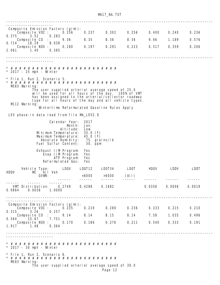MA17\_NA.TXT

| Composite Emission Factors (g/mi):                                                                                                                                                                                                     |                                                                                                                                       |                                                         |               |       |        |        |        |  |  |  |
|----------------------------------------------------------------------------------------------------------------------------------------------------------------------------------------------------------------------------------------|---------------------------------------------------------------------------------------------------------------------------------------|---------------------------------------------------------|---------------|-------|--------|--------|--------|--|--|--|
| Composite VOC :<br>0.375<br>3.52                                                                                                                                                                                                       | 0.256<br>0.283                                                                                                                        | 0.237                                                   | 0.302         | 0.256 | 0.400  | 0.240  | 0.236  |  |  |  |
| Composite CO<br>0.714<br>18.29                                                                                                                                                                                                         | 9.36<br>8.038                                                                                                                         | 8.35                                                    | 8.38          | 8.36  | 9.66   | 1.189  | 0.576  |  |  |  |
| Composite NOX :<br>2.061<br>1.40                                                                                                                                                                                                       | 0.180<br>0.385                                                                                                                        | 0.197                                                   | 0.291         | 0.223 | 0.517  | 0.359  | 0.206  |  |  |  |
|                                                                                                                                                                                                                                        |                                                                                                                                       |                                                         |               |       |        |        |        |  |  |  |
|                                                                                                                                                                                                                                        |                                                                                                                                       |                                                         |               |       |        |        |        |  |  |  |
| $*$ 2017 - 25 mph - Winter                                                                                                                                                                                                             |                                                                                                                                       |                                                         |               |       |        |        |        |  |  |  |
| * File 1, Run 2, Scenario 5.<br>M583 Warning:                                                                                                                                                                                          |                                                                                                                                       |                                                         |               |       |        |        |        |  |  |  |
| The user supplied arterial average speed of 25.0<br>will be used for all hours of the day. 100% of VMT<br>has been assigned to the arterial/collector roadway<br>type for all hours of the day and all vehicle types.<br>M112 Warning: |                                                                                                                                       |                                                         |               |       |        |        |        |  |  |  |
|                                                                                                                                                                                                                                        | Wintertime Reformulated Gasoline Rules Apply                                                                                          |                                                         |               |       |        |        |        |  |  |  |
| LEV phase-in data read from file MA_LEV2.D                                                                                                                                                                                             |                                                                                                                                       |                                                         |               |       |        |        |        |  |  |  |
|                                                                                                                                                                                                                                        | Calendar Year:<br>Month:<br>Al ti tude:<br>Minimum Temperature:<br>Maximum Temperature:<br>Absolute Humidity:<br>Fuel Sulfur Content: | 2017<br>Jan.<br>Low<br>35.0(F)<br>45.0 $(F)$<br>30. ppm | 75. grains/Ib |       |        |        |        |  |  |  |
|                                                                                                                                                                                                                                        | Exhaust I/M Program:<br>Evap I/M Program:<br>ATP Program:<br>Reformulated Gas:                                                        | Yes<br>Yes<br>Yes<br>Yes                                |               |       |        |        |        |  |  |  |
| Vehicle Type:<br><b>HDDV</b><br>МC                                                                                                                                                                                                     | LDGV<br>All Veh                                                                                                                       | LDGT12                                                  | LDGT34        | LDGT  | HDGV   | LDDV   | LDDT   |  |  |  |
|                                                                                                                                                                                                                                        | GVWR:                                                                                                                                 | <6000                                                   | >6000         | (All) |        |        |        |  |  |  |
| ------<br>------<br>0.0864<br>0.0036                                                                                                                                                                                                   | VMT Distribution: 0.2749 0.4288<br>1.0000                                                                                             |                                                         | 0.1682        |       | 0.0356 | 0.0006 | 0.0019 |  |  |  |
| . 22222222222222222                                                                                                                                                                                                                    |                                                                                                                                       |                                                         |               |       |        |        |        |  |  |  |
| Composite Emission Factors (g/mi):<br>Composite VOC :                                                                                                                                                                                  | 0.235                                                                                                                                 | 0.219                                                   | 0.280         | 0.236 | 0.333  | 0.215  | 0.210  |  |  |  |
| 3.26<br>0.315<br>Composite CO :<br>15.67<br>0.564                                                                                                                                                                                      | 0.257<br>9.14<br>7.751                                                                                                                | 8.14                                                    | 8.15          | 8.14  | 7.58   | 1.035  | 0.496  |  |  |  |
| Composite NOX :<br>1.917<br>1.48                                                                                                                                                                                                       | 0.170<br>0.364                                                                                                                        | 0.186                                                   | 0.276         | 0.211 | 0.540  | 0.333  | 0.191  |  |  |  |
|                                                                                                                                                                                                                                        |                                                                                                                                       |                                                         |               |       |        |        |        |  |  |  |
| $*$ 2017 - 30 mph - Winter                                                                                                                                                                                                             |                                                                                                                                       |                                                         |               |       |        |        |        |  |  |  |
| * File 1, Run 2, Scenario 6.<br>M583 Warning:                                                                                                                                                                                          | The user supplied arterial average speed of 30.0                                                                                      |                                                         |               |       |        |        |        |  |  |  |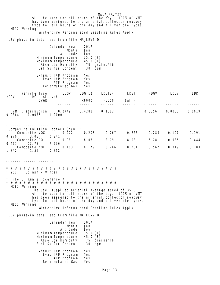| M112 Warning:                                                                                        |                 | will be used for all hours of the day. 100% of VMT<br>has been assigned to the arterial/collector roadway<br>type for all hours of the day and all vehicle types.                                                                                                     |                                                                       | MA17_NA.TXT           |                         |               |                |                |  |
|------------------------------------------------------------------------------------------------------|-----------------|-----------------------------------------------------------------------------------------------------------------------------------------------------------------------------------------------------------------------------------------------------------------------|-----------------------------------------------------------------------|-----------------------|-------------------------|---------------|----------------|----------------|--|
|                                                                                                      |                 | Wintertime Reformulated Gasoline Rules Apply                                                                                                                                                                                                                          |                                                                       |                       |                         |               |                |                |  |
| LEV phase-in data read from file MA_LEV2.D                                                           |                 |                                                                                                                                                                                                                                                                       |                                                                       |                       |                         |               |                |                |  |
|                                                                                                      |                 | Calendar Year:<br>Month:<br>Al ti tude:<br>Minimum Temperature:<br>Maximum Temperature:<br>Absolute Humidity:<br>Fuel Sulfur Content:                                                                                                                                 | 2017<br>Jan.<br>Low<br>35.0(F)<br>45.0 $(F)$<br>30. ppm               | 75. grains/Ib         |                         |               |                |                |  |
|                                                                                                      |                 | Exhaust I/M Program:<br>Evap I/M Program:<br>ATP Program:<br>Reformulated Gas:                                                                                                                                                                                        | Yes<br>Yes<br>Yes<br>Yes                                              |                       |                         |               |                |                |  |
| HDDV                                                                                                 | MC All Veh      | Vehicle Type: LDGV                                                                                                                                                                                                                                                    | LDGT12                                                                | LDGT34                | <b>LDGT</b>             | HDGV          | <b>EDDV</b>    | LDDT           |  |
|                                                                                                      | GVWR:           |                                                                                                                                                                                                                                                                       | <6000<br>------                                                       | >6000 (AII)<br>------ | $- - - - - - -$         |               |                |                |  |
| VMT Distribution: 0.2749<br>0.0864                                                                   | 0.0036          | 1.0000                                                                                                                                                                                                                                                                | 0.4288                                                                | 0.1682                |                         | 0.0356        | 0.0006         | 0.0019         |  |
| Composite Emission Factors (g/mi):<br>Composite VOC :<br>0.270 3.06<br>Composite CO :<br>0.467 13.78 |                 | 0.222<br>0.241<br>9.08<br>7.636                                                                                                                                                                                                                                       | 0.208<br>8.08                                                         | 8.09                  | $0.267$ $0.225$<br>8.08 | 0.288<br>6.28 | 0.197<br>0.935 | 0.191<br>0.444 |  |
| 1.842<br>1.56                                                                                        | Composite NOX : | 0.163<br>0.352                                                                                                                                                                                                                                                        | 0.179                                                                 | 0.266                 | 0.204                   | 0.562         | 0.319          | 0.183          |  |
| 2017 - 35 mph - Winter                                                                               |                 |                                                                                                                                                                                                                                                                       |                                                                       |                       |                         |               |                |                |  |
| File 1, Run 2, Scenario 7.<br>M583 Warning:<br>M112 Warning:                                         |                 | The user supplied arterial average speed of 35.0<br>will be used for all hours of the day. 100% of VMT<br>has been assigned to the arterial/collector roadway<br>type for all hours of the day and all vehicle types.<br>Wintertime Reformulated Gasoline Rules Apply |                                                                       |                       |                         |               |                |                |  |
| LEV phase-in data read from file MA_LEV2.D                                                           |                 |                                                                                                                                                                                                                                                                       |                                                                       |                       |                         |               |                |                |  |
|                                                                                                      |                 | Cal endar Year:<br>Month:<br>Al ti tude:<br>Minimum Temperature:<br>Maximum Temperature:<br>Absolute Humidity:<br>Fuel Sulfur Content:<br>Exhaust I/M Program:<br>Evap I/M Program:                                                                                   | 2017<br>Jan.<br>Low<br>35.0(F)<br>45.0 $(F)$<br>30. ppm<br>Yes<br>Yes | 75. grains/lb         |                         |               |                |                |  |
|                                                                                                      |                 | ATP Program:<br>Reformulated Gas:                                                                                                                                                                                                                                     | Yes<br>Yes                                                            |                       |                         |               |                |                |  |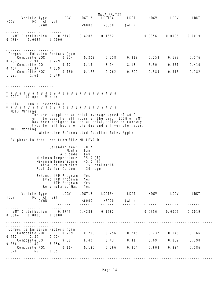| <b>HDDV</b> | Vehicle Type:                                                                                                                                                                                                                          | MC All Veh              | <b>LDGV</b>                                                                                                                           | LDGT12                                                  | MA17_NA. TXT<br>LDGT34               | LDGT            | HDGV   | LDDV   | LDDT   |  |  |  |
|-------------|----------------------------------------------------------------------------------------------------------------------------------------------------------------------------------------------------------------------------------------|-------------------------|---------------------------------------------------------------------------------------------------------------------------------------|---------------------------------------------------------|--------------------------------------|-----------------|--------|--------|--------|--|--|--|
|             | GVWR:                                                                                                                                                                                                                                  |                         |                                                                                                                                       | <6000<br>------                                         | >6000<br>$- - - - - - -$             | (A I)<br>------ |        |        |        |  |  |  |
| 0.0864      | VMT Distribution: 0.2749<br>0.0036                                                                                                                                                                                                     | 1.0000                  |                                                                                                                                       | 0.4288                                                  | 0.1682                               |                 | 0.0356 | 0.0006 | 0.0019 |  |  |  |
|             | --------------------------------                                                                                                                                                                                                       |                         |                                                                                                                                       |                                                         |                                      |                 |        |        |        |  |  |  |
|             | Composite Emission Factors (g/mi):<br>Composite VOC :<br>$0.237$ 2.91                                                                                                                                                                  | 0.229                   | 0.214                                                                                                                                 | 0.202                                                   | 0.258                                | 0.218           | 0. 258 | 0.183  | 0.176  |  |  |  |
|             | Composite CO<br>$0.404$ 12.37                                                                                                                                                                                                          | $\sim 10^{-1}$<br>7.639 | 9.12                                                                                                                                  | 8.13                                                    | 8.14                                 | 8.13            | 5.50   | 0.871  | 0.410  |  |  |  |
| 1. 827      | Composite NOX :<br>1.61                                                                                                                                                                                                                | 0.348                   | 0.160                                                                                                                                 | 0.176                                                   | 0.262                                | 0.200           | 0.585  | 0.316  | 0.182  |  |  |  |
|             |                                                                                                                                                                                                                                        |                         |                                                                                                                                       |                                                         |                                      |                 |        |        |        |  |  |  |
|             | $*$ 2017 - 40 mph - Winter                                                                                                                                                                                                             |                         |                                                                                                                                       |                                                         |                                      |                 |        |        |        |  |  |  |
|             | * File 1, Run 2, Scenario 8.                                                                                                                                                                                                           |                         |                                                                                                                                       |                                                         |                                      |                 |        |        |        |  |  |  |
|             | M583 Warning:<br>The user supplied arterial average speed of 40.0<br>will be used for all hours of the day. 100% of VMT<br>has been assigned to the arterial/collector roadway<br>type for all hours of the day and all vehicle types. |                         |                                                                                                                                       |                                                         |                                      |                 |        |        |        |  |  |  |
|             | M112 Warning:<br>Wintertime Reformulated Gasoline Rules Apply                                                                                                                                                                          |                         |                                                                                                                                       |                                                         |                                      |                 |        |        |        |  |  |  |
|             | LEV phase-in data read from file MA_LEV2.D                                                                                                                                                                                             |                         |                                                                                                                                       |                                                         |                                      |                 |        |        |        |  |  |  |
|             |                                                                                                                                                                                                                                        |                         | Calendar Year:<br>Month:<br>Al ti tude:<br>Minimum Temperature:<br>Maximum Temperature:<br>Absolute Humidity:<br>Fuel Sulfur Content: | 2017<br>Jan.<br>Low<br>35.0(F)<br>45.0 $(F)$<br>30. ppm | 75. grains/Ib                        |                 |        |        |        |  |  |  |
|             |                                                                                                                                                                                                                                        |                         | Exhaust I/M Program:<br>Evap I/M Program:<br>ATP Program:<br>Reformulated Gas:                                                        | Yes<br>Yes<br>Yes<br>Yes                                |                                      |                 |        |        |        |  |  |  |
| <b>HDDV</b> | Vehicle Type: LDGV<br>MC All Veh                                                                                                                                                                                                       |                         |                                                                                                                                       | LDGT12                                                  | LDGT34 LDGT                          |                 | HDGV   | LDDV   | LDDT   |  |  |  |
|             | GVWR:                                                                                                                                                                                                                                  |                         |                                                                                                                                       | <6000<br>------                                         | >6000<br>------                      | (A I)<br>------ |        |        |        |  |  |  |
| 0.0864      | VMT Distribution:<br>0.0036                                                                                                                                                                                                            | 1.0000                  | 0. 2749                                                                                                                               | 0.4288                                                  | 0.1682                               |                 | 0.0356 | 0.0006 | 0.0019 |  |  |  |
|             | Composite Emission Factors (g/mi):<br>Composite VOC : $0.\overline{209}$                                                                                                                                                               |                         |                                                                                                                                       | 0.200                                                   | ---------------------------<br>0.256 | 0.216           | 0. 237 | 0. 173 | 0.166  |  |  |  |
|             | $0.212$ 2.80<br>Composite CO :                                                                                                                                                                                                         | 0.224                   | 9.38                                                                                                                                  | 8.40                                                    | 8.43                                 | 8.41            | 5.09   | 0.832  | 0.390  |  |  |  |
| 1.870       | $0.366$ 11.40<br>Composite NOX :<br>1.65                                                                                                                                                                                               | 7.856<br>0.357          | 0.164                                                                                                                                 | 0.180                                                   | 0.266                                | 0.204           | 0.608  | 0.324  | 0.186  |  |  |  |
|             |                                                                                                                                                                                                                                        |                         |                                                                                                                                       |                                                         |                                      |                 |        |        |        |  |  |  |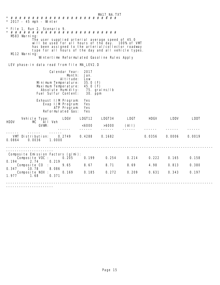MA17\_NA.TXT \* # # # # # # # # # # # # # # # # # # # # # # # # #  $*$  2017 - 45 mph - Winter \* File 1, Run 2, Scenario 9. \* # # # # # # # # # # # # # # # # # # # # # # # # # M583 Warning: The user supplied arterial average speed of 45.0 will be used for all hours of the day. 100% of VMT has been assigned to the arterial/collector roadway type for all hours of the day and all vehicle types. M112 Warning: Wintertime Reformulated Gasoline Rules Apply LEV phase-in data read from file MA\_LEV2.D Calendar Year: 2017 Month: Jan.<br>titude: Low Altitude: Low<br>nperature: 35.0 (F) Minimum Temperature: 35.0 (F)<br>Maximum Temperature: 45.0 (F) Maximum Temperature: 45.0 (F) Absolute Humidity: 75. grái<br>lel Sulfur Content: 30. ppm Fuel Sulfur Content: Exhaust I/M Program: Yes Evap I/M Program: Yes ATP Program: Reformulated Gas: Yes Vehicle Type: LDGV LDGT12 LDGT34 LDGT HDGV LDDV LDDT Vehicle Type:<br>MC All Veh<br>GVWR:  $< 6000$   $> 6000$  (All) ------ ------ ------ ------ ------ ------ ------ ------ ------ ------ VMT Distribution: 0.2749 0.4288 0.1682 0.0356 0.0006 0.0019 0.0864 0.0036 1.0000 ------------------------------------------------------------------------------------------------ ---------------------- Composite Emission Factors (g/mi): Composite VOC : 0.205 0.199 0.254 0.214 0.222 0.165 0.158 0.194 2.74 0.219 Composite CO : 9.65 8.67 8.71 8.69 4.98 0.813 0.380 0.347 10.78 8.086 Composite NOX : 0.169 0.185 0.272 0.209 0.631 0.343 0.197 1.977 1.68 0.371 ------------------------------------------------------------------------------------------------ ----------------------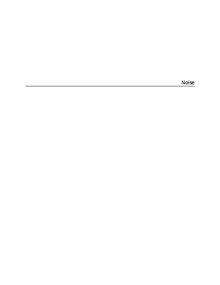Noise